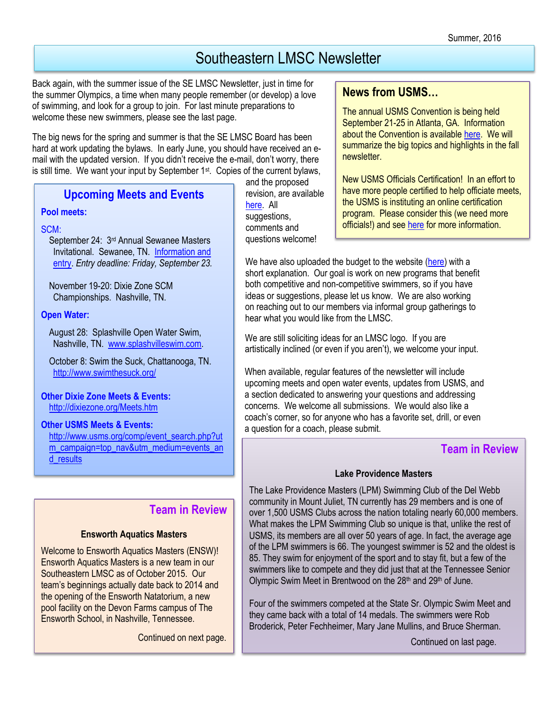# Southeastern LMSC Newsletter

Back again, with the summer issue of the SE LMSC Newsletter, just in time for the summer Olympics, a time when many people remember (or develop) a love of swimming, and look for a group to join. For last minute preparations to welcome these new swimmers, please see the last page.

The big news for the spring and summer is that the SE LMSC Board has been hard at work updating the bylaws. In early June, you should have received an email with the updated version. If you didn't receive the e-mail, don't worry, there is still time. We want your input by September  $1<sup>st</sup>$ . Copies of the current bylaws,

### **Upcoming Meets and Events**

#### **Pool meets:**

### SCM:

September 24: 3rd Annual Sewanee Masters Invitational. Sewanee, TN. [Information and](http://dixiezone.org/Meets/1609sewanee.pdf)  [entry.](http://dixiezone.org/Meets/1609sewanee.pdf) *Entry deadline: Friday, September 23.*

November 19-20: Dixie Zone SCM Championships. Nashville, TN.

### **Open Water:**

August 28: Splashville Open Water Swim, Nashville, TN. [www.splashvilleswim.com.](http://www.splashvilleswim.com/)

October 8: Swim the Suck, Chattanooga, TN. <http://www.swimthesuck.org/>

**Other Dixie Zone Meets & Events:**  <http://dixiezone.org/Meets.htm>

### **Other USMS Meets & Events:**

[http://www.usms.org/comp/event\\_search.php?ut](http://www.usms.org/comp/event_search.php?utm_campaign=top_nav&utm_medium=events_and_results) [m\\_campaign=top\\_nav&utm\\_medium=events\\_an](http://www.usms.org/comp/event_search.php?utm_campaign=top_nav&utm_medium=events_and_results) [d\\_results](http://www.usms.org/comp/event_search.php?utm_campaign=top_nav&utm_medium=events_and_results)

# **Team in Review**

#### **Ensworth Aquatics Masters**

Welcome to Ensworth Aquatics Masters (ENSW)! Ensworth Aquatics Masters is a new team in our Southeastern LMSC as of October 2015. Our team's beginnings actually date back to 2014 and the opening of the Ensworth Natatorium, a new pool facility on the Devon Farms campus of The Ensworth School, in Nashville, Tennessee.

Continued on next page.

and the proposed revision, are available [here.](http://www.southeasternlmsc.com/w/page.cfm?pagetitle=Documents) All suggestions, comments and questions welcome!

### **News from USMS…**

The annual USMS Convention is being held September 21-25 in Atlanta, GA. Information about the Convention is available [here.](http://www.usms.org/admin/conv/2016/) We will summarize the big topics and highlights in the fall newsletter.

New USMS Officials Certification! In an effort to have more people certified to help officiate meets, the USMS is instituting an online certification program. Please consider this (we need more officials!) and see [here](http://www.usms.org/admin/lmschb/content/officialscert) for more information.

We have also uploaded the budget to the website [\(here\)](http://www.southeasternlmsc.com/w/page.cfm?pagetitle=Documents) with a short explanation. Our goal is work on new programs that benefit both competitive and non-competitive swimmers, so if you have ideas or suggestions, please let us know. We are also working on reaching out to our members via informal group gatherings to hear what you would like from the LMSC.

We are still soliciting ideas for an LMSC logo. If you are artistically inclined (or even if you aren't), we welcome your input.

When available, regular features of the newsletter will include upcoming meets and open water events, updates from USMS, and a section dedicated to answering your questions and addressing concerns. We welcome all submissions. We would also like a coach's corner, so for anyone who has a favorite set, drill, or even a question for a coach, please submit.

### **Team in Review**

### **Lake Providence Masters**

The Lake Providence Masters (LPM) Swimming Club of the Del Webb community in Mount Juliet, TN currently has 29 members and is one of over 1,500 USMS Clubs across the nation totaling nearly 60,000 members. What makes the LPM Swimming Club so unique is that, unlike the rest of USMS, its members are all over 50 years of age. In fact, the average age of the LPM swimmers is 66. The youngest swimmer is 52 and the oldest is 85. They swim for enjoyment of the sport and to stay fit, but a few of the swimmers like to compete and they did just that at the Tennessee Senior Olympic Swim Meet in Brentwood on the 28<sup>th</sup> and 29<sup>th</sup> of June.

Four of the swimmers competed at the State Sr. Olympic Swim Meet and they came back with a total of 14 medals. The swimmers were Rob Broderick, Peter Fechheimer, Mary Jane Mullins, and Bruce Sherman.

Continued on last page.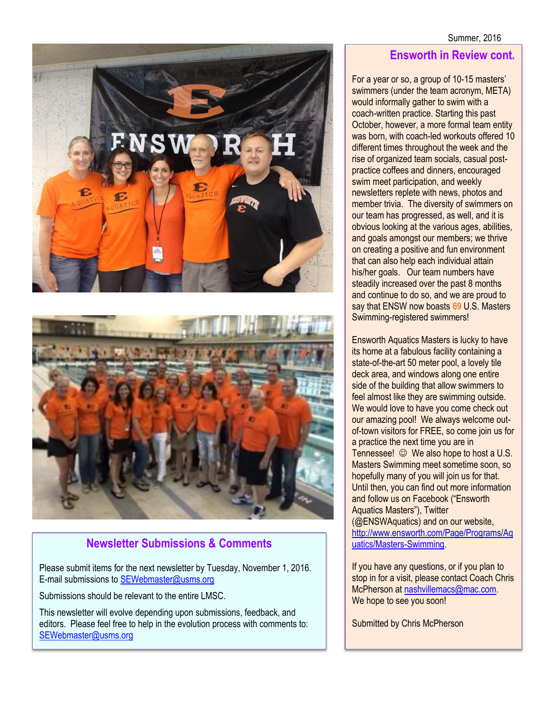



# **Newsletter Submissions & Comments**

Please submit items for the next newsletter by Tuesday, November 1, 2016. E-mail submissions to [SEWebmaster@usms.org](mailto:SEWebmaster@usms.org)

Submissions should be relevant to the entire LMSC.

This newsletter will evolve depending upon submissions, feedback, and editors. Please feel free to help in the evolution process with comments to: [SEWebmaster@usms.org](mailto:SEWebmaster@usms.org)

### **Ensworth in Review cont.**

For a year or so, a group of 10-15 masters' swimmers (under the team acronym, META) would informally gather to swim with a coach-written practice. Starting this past October, however, a more formal team entity was born, with coach-led workouts offered 10 different times throughout the week and the rise of organized team socials, casual postpractice coffees and dinners, encouraged swim meet participation, and weekly newsletters replete with news, photos and member trivia. The diversity of swimmers on our team has progressed, as well, and it is obvious looking at the various ages, abilities, and goals amongst our members; we thrive on creating a positive and fun environment that can also help each individual attain his/her goals. Our team numbers have steadily increased over the past 8 months and continue to do so, and we are proud to say that ENSW now boasts **69** U.S. Masters Swimming-registered swimmers!

Ensworth Aquatics Masters is lucky to have its home at a fabulous facility containing a state-of-the-art 50 meter pool, a lovely tile deck area, and windows along one entire side of the building that allow swimmers to feel almost like they are swimming outside. We would love to have you come check out our amazing pool! We always welcome outof-town visitors for FREE, so come join us for a practice the next time you are in Tennessee!  $\odot$  We also hope to host a U.S. Masters Swimming meet sometime soon, so hopefully many of you will join us for that. Until then, you can find out more information and follow us on Facebook ("Ensworth Aquatics Masters"), Twitter (@ENSWAquatics) and on our website, [http://www.ensworth.com/Page/Programs/Aq](http://www.ensworth.com/Page/Programs/Aquatics/Masters-Swimming) [uatics/Masters-Swimming.](http://www.ensworth.com/Page/Programs/Aquatics/Masters-Swimming)

If you have any questions, or if you plan to stop in for a visit, please contact Coach Chris McPherson at [nashvillemacs@mac.com.](mailto:nashvillemacs@mac.com) We hope to see you soon!

Submitted by Chris McPherson